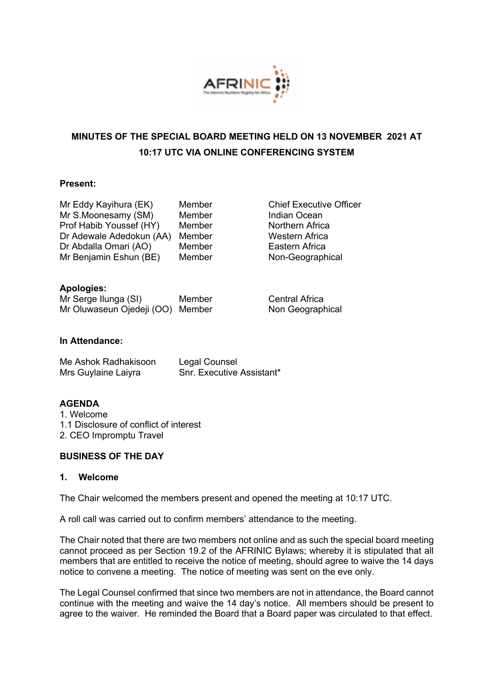

# **MINUTES OF THE SPECIAL BOARD MEETING HELD ON 13 NOVEMBER 2021 AT 10:17 UTC VIA ONLINE CONFERENCING SYSTEM**

## **Present:**

| Member |
|--------|
| Member |
| Member |
| Member |
| Member |
| Member |
|        |

**Chief Executive Officer** Indian Ocean Northern Africa Western Africa Eastern Africa Non-Geographical

## **Apologies:**

| Mr Serge Ilunga (SI)             | Member |
|----------------------------------|--------|
| Mr Oluwaseun Ojedeji (OO) Member |        |

Central Africa Non Geographical

## **In Attendance:**

| Me Ashok Radhakisoon | Legal Counsel                    |
|----------------------|----------------------------------|
| Mrs Guylaine Laiyra  | <b>Snr. Executive Assistant*</b> |

# **AGENDA**

1. Welcome 1.1 Disclosure of conflict of interest 2. CEO Impromptu Travel

## **BUSINESS OF THE DAY**

## **1. Welcome**

The Chair welcomed the members present and opened the meeting at 10:17 UTC.

A roll call was carried out to confirm members' attendance to the meeting.

The Chair noted that there are two members not online and as such the special board meeting cannot proceed as per Section 19.2 of the AFRINIC Bylaws; whereby it is stipulated that all members that are entitled to receive the notice of meeting, should agree to waive the 14 days notice to convene a meeting. The notice of meeting was sent on the eve only.

The Legal Counsel confirmed that since two members are not in attendance, the Board cannot continue with the meeting and waive the 14 day's notice. All members should be present to agree to the waiver. He reminded the Board that a Board paper was circulated to that effect.